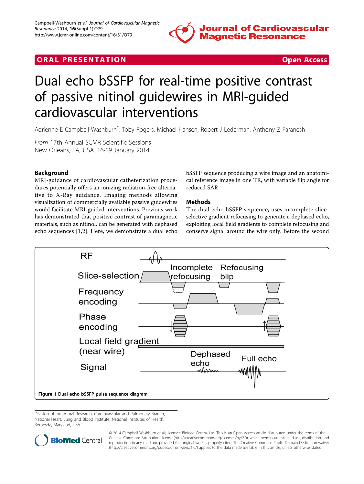

# <span id="page-0-0"></span>**ORAL PRESENTATION CONSUMING ACCESS**



# Dual echo bSSFP for real-time positive contrast of passive nitinol guidewires in MRI-guided cardiovascular interventions

Adrienne E Campbell-Washburn\* , Toby Rogers, Michael Hansen, Robert J Lederman, Anthony Z Faranesh

From 17th Annual SCMR Scientific Sessions New Orleans, LA, USA. 16-19 January 2014

## Background

MRI-guidance of cardiovascular catheterization procedures potentially offers an ionizing radiation-free alternative to X-Ray guidance. Imaging methods allowing visualization of commercially available passive guidewires would facilitate MRI-guided interventions. Previous work has demonstrated that positive contrast of paramagnetic materials, such as nitinol, can be generated with dephased echo sequences [\[1](#page-1-0),[2\]](#page-1-0). Here, we demonstrate a dual echo

bSSFP sequence producing a wire image and an anatomical reference image in one TR, with variable flip angle for reduced SAR.

### Methods

The dual echo bSSFP sequence, uses incomplete sliceselective gradient refocusing to generate a dephased echo, exploiting local field gradients to complete refocusing and conserve signal around the wire only. Before the second



Division of Intramural Research, Cardiovascular and Pulmonary Branch, National Heart, Lung and Blood Institute, National Institutes of Health, Bethesda, Maryland, USA



© 2014 Campbell-Washburn et al.; licensee BioMed Central Ltd. This is an Open Access article distributed under the terms of the Creative Commons Attribution License (<http://creativecommons.org/licenses/by/2.0>), which permits unrestricted use, distribution, and reproduction in any medium, provided the original work is properly cited. The Creative Commons Public Domain Dedication waiver [\(http://creativecommons.org/publicdomain/zero/1.0/](http://creativecommons.org/publicdomain/zero/1.0/)) applies to the data made available in this article, unless otherwise stated.